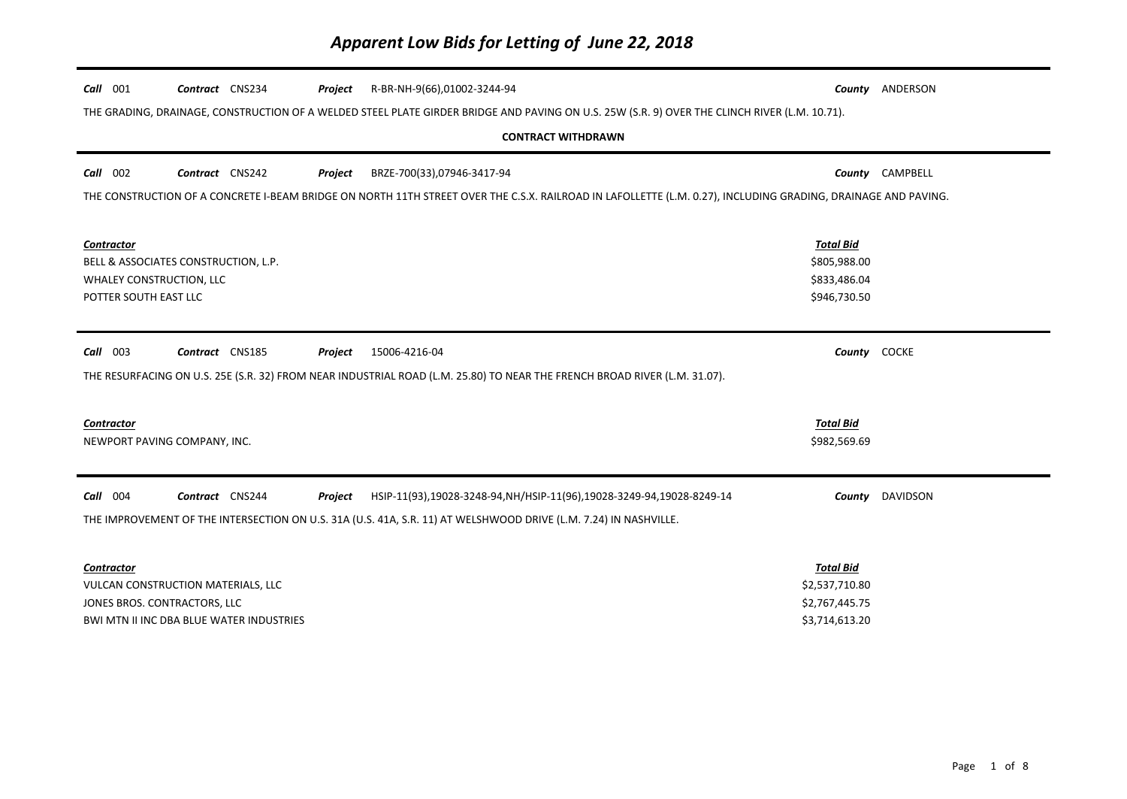| Call 001                                                                                                                  | Contract CNS234                      | Project | R-BR-NH-9(66),01002-3244-94                                                                                                                                   |                  | County ANDERSON        |
|---------------------------------------------------------------------------------------------------------------------------|--------------------------------------|---------|---------------------------------------------------------------------------------------------------------------------------------------------------------------|------------------|------------------------|
|                                                                                                                           |                                      |         | THE GRADING, DRAINAGE, CONSTRUCTION OF A WELDED STEEL PLATE GIRDER BRIDGE AND PAVING ON U.S. 25W (S.R. 9) OVER THE CLINCH RIVER (L.M. 10.71).                 |                  |                        |
|                                                                                                                           |                                      |         | <b>CONTRACT WITHDRAWN</b>                                                                                                                                     |                  |                        |
|                                                                                                                           |                                      |         |                                                                                                                                                               |                  |                        |
| Call 002                                                                                                                  | Contract CNS242                      | Project | BRZE-700(33),07946-3417-94                                                                                                                                    |                  | County CAMPBELL        |
|                                                                                                                           |                                      |         | THE CONSTRUCTION OF A CONCRETE I-BEAM BRIDGE ON NORTH 11TH STREET OVER THE C.S.X. RAILROAD IN LAFOLLETTE (L.M. 0.27), INCLUDING GRADING, DRAINAGE AND PAVING. |                  |                        |
|                                                                                                                           |                                      |         |                                                                                                                                                               |                  |                        |
| Contractor                                                                                                                |                                      |         |                                                                                                                                                               | <b>Total Bid</b> |                        |
|                                                                                                                           | BELL & ASSOCIATES CONSTRUCTION, L.P. |         |                                                                                                                                                               | \$805,988.00     |                        |
| WHALEY CONSTRUCTION, LLC                                                                                                  |                                      |         |                                                                                                                                                               | \$833,486.04     |                        |
| POTTER SOUTH EAST LLC                                                                                                     |                                      |         |                                                                                                                                                               | \$946,730.50     |                        |
|                                                                                                                           |                                      |         |                                                                                                                                                               |                  |                        |
| Call 003                                                                                                                  | Contract CNS185                      | Project | 15006-4216-04                                                                                                                                                 | County COCKE     |                        |
| THE RESURFACING ON U.S. 25E (S.R. 32) FROM NEAR INDUSTRIAL ROAD (L.M. 25.80) TO NEAR THE FRENCH BROAD RIVER (L.M. 31.07). |                                      |         |                                                                                                                                                               |                  |                        |
|                                                                                                                           |                                      |         |                                                                                                                                                               |                  |                        |
| <b>Contractor</b>                                                                                                         |                                      |         |                                                                                                                                                               | <b>Total Bid</b> |                        |
| NEWPORT PAVING COMPANY, INC.                                                                                              |                                      |         |                                                                                                                                                               | \$982,569.69     |                        |
|                                                                                                                           |                                      |         |                                                                                                                                                               |                  |                        |
| Call 004                                                                                                                  | Contract CNS244                      | Project | HSIP-11(93),19028-3248-94,NH/HSIP-11(96),19028-3249-94,19028-8249-14                                                                                          |                  | <b>County</b> DAVIDSON |
|                                                                                                                           |                                      |         |                                                                                                                                                               |                  |                        |
|                                                                                                                           |                                      |         | THE IMPROVEMENT OF THE INTERSECTION ON U.S. 31A (U.S. 41A, S.R. 11) AT WELSHWOOD DRIVE (L.M. 7.24) IN NASHVILLE.                                              |                  |                        |
|                                                                                                                           |                                      |         |                                                                                                                                                               |                  |                        |
| Contractor                                                                                                                | <b>Total Bid</b>                     |         |                                                                                                                                                               |                  |                        |
| \$2,537,710.80<br>VULCAN CONSTRUCTION MATERIALS, LLC                                                                      |                                      |         |                                                                                                                                                               |                  |                        |
| JONES BROS. CONTRACTORS, LLC                                                                                              |                                      |         |                                                                                                                                                               | \$2,767,445.75   |                        |
| BWI MTN II INC DBA BLUE WATER INDUSTRIES                                                                                  |                                      |         |                                                                                                                                                               | \$3,714,613.20   |                        |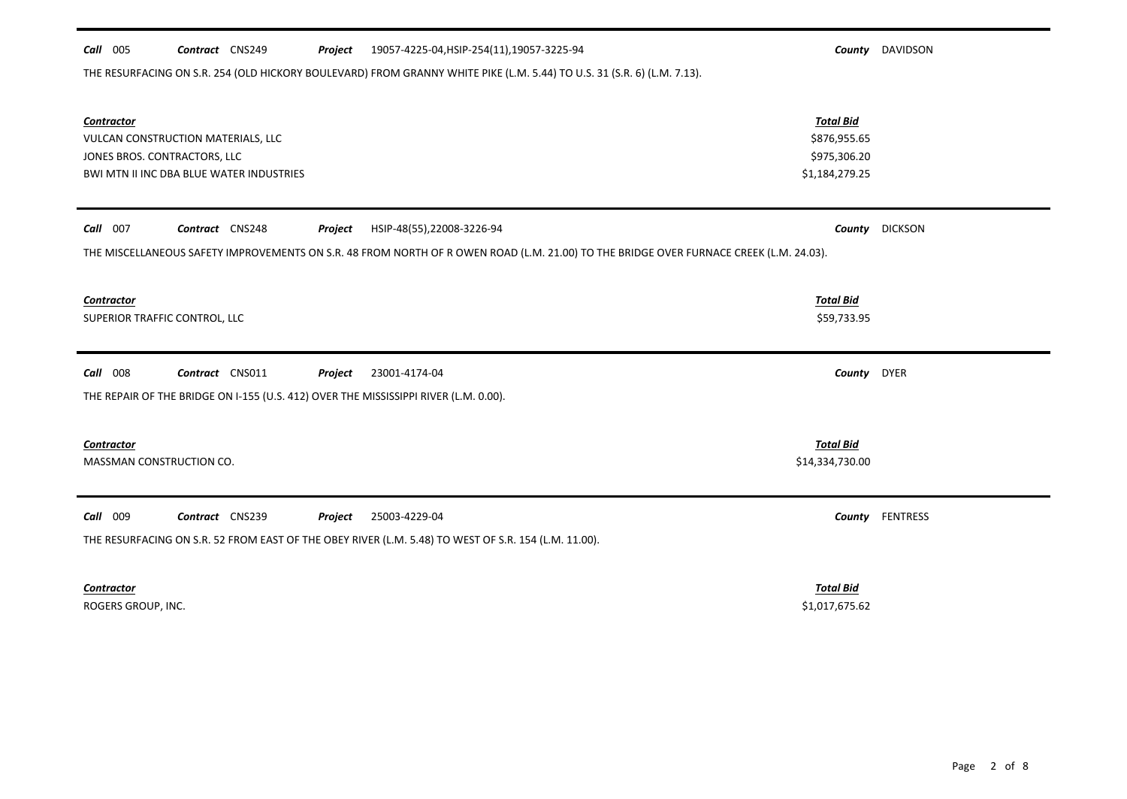| Call 005                      | Contract CNS249                          | Project | 19057-4225-04, HSIP-254(11), 19057-3225-94                                                                                             |                  | <b>County</b> DAVIDSON |
|-------------------------------|------------------------------------------|---------|----------------------------------------------------------------------------------------------------------------------------------------|------------------|------------------------|
|                               |                                          |         | THE RESURFACING ON S.R. 254 (OLD HICKORY BOULEVARD) FROM GRANNY WHITE PIKE (L.M. 5.44) TO U.S. 31 (S.R. 6) (L.M. 7.13).                |                  |                        |
| <b>Contractor</b>             |                                          |         |                                                                                                                                        | <b>Total Bid</b> |                        |
|                               | VULCAN CONSTRUCTION MATERIALS, LLC       |         |                                                                                                                                        | \$876,955.65     |                        |
| JONES BROS. CONTRACTORS, LLC  |                                          |         |                                                                                                                                        | \$975,306.20     |                        |
|                               | BWI MTN II INC DBA BLUE WATER INDUSTRIES |         |                                                                                                                                        | \$1,184,279.25   |                        |
| Call 007                      | Contract CNS248                          | Project | HSIP-48(55),22008-3226-94                                                                                                              | County           | <b>DICKSON</b>         |
|                               |                                          |         | THE MISCELLANEOUS SAFETY IMPROVEMENTS ON S.R. 48 FROM NORTH OF R OWEN ROAD (L.M. 21.00) TO THE BRIDGE OVER FURNACE CREEK (L.M. 24.03). |                  |                        |
| <b>Contractor</b>             |                                          |         |                                                                                                                                        | <b>Total Bid</b> |                        |
| SUPERIOR TRAFFIC CONTROL, LLC |                                          |         |                                                                                                                                        | \$59,733.95      |                        |
|                               |                                          |         |                                                                                                                                        |                  |                        |
| Call 008                      | Contract CNS011                          | Project | 23001-4174-04                                                                                                                          | County DYER      |                        |
|                               |                                          |         | THE REPAIR OF THE BRIDGE ON I-155 (U.S. 412) OVER THE MISSISSIPPI RIVER (L.M. 0.00).                                                   |                  |                        |
| <b>Contractor</b>             |                                          |         |                                                                                                                                        | <b>Total Bid</b> |                        |
| MASSMAN CONSTRUCTION CO.      |                                          |         |                                                                                                                                        | \$14,334,730.00  |                        |
|                               |                                          |         |                                                                                                                                        |                  |                        |
| Call 009                      | Contract CNS239                          | Project | 25003-4229-04                                                                                                                          |                  | County FENTRESS        |
|                               |                                          |         | THE RESURFACING ON S.R. 52 FROM EAST OF THE OBEY RIVER (L.M. 5.48) TO WEST OF S.R. 154 (L.M. 11.00).                                   |                  |                        |
| <b>Contractor</b>             |                                          |         |                                                                                                                                        | <b>Total Bid</b> |                        |

ROGERS GROUP, INC. \$1,017,675.62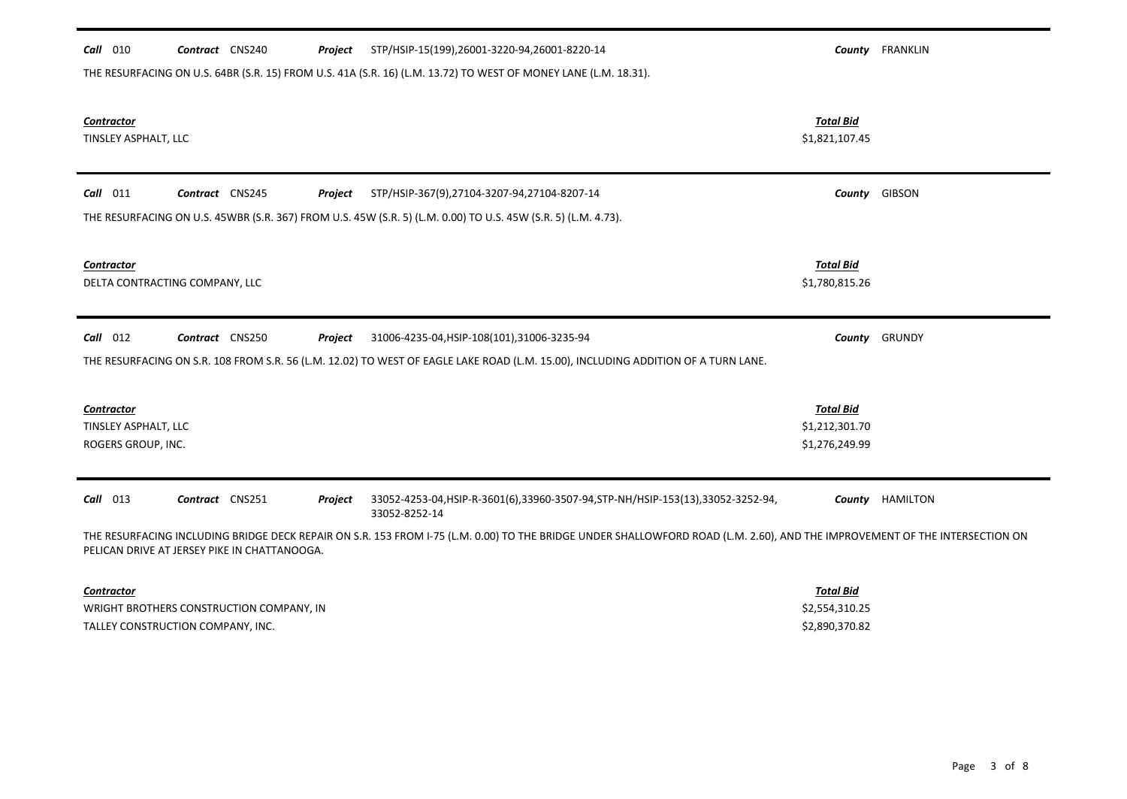| STP/HSIP-15(199),26001-3220-94,26001-8220-14<br>$Call$ 010<br>Contract CNS240<br>Project                                                                                                                                    |                                    | County FRANKLIN |  |  |  |
|-----------------------------------------------------------------------------------------------------------------------------------------------------------------------------------------------------------------------------|------------------------------------|-----------------|--|--|--|
| THE RESURFACING ON U.S. 64BR (S.R. 15) FROM U.S. 41A (S.R. 16) (L.M. 13.72) TO WEST OF MONEY LANE (L.M. 18.31).                                                                                                             |                                    |                 |  |  |  |
|                                                                                                                                                                                                                             |                                    |                 |  |  |  |
| <b>Contractor</b><br>TINSLEY ASPHALT, LLC                                                                                                                                                                                   | <b>Total Bid</b><br>\$1,821,107.45 |                 |  |  |  |
|                                                                                                                                                                                                                             |                                    |                 |  |  |  |
| $Call$ 011<br>Contract CNS245<br>STP/HSIP-367(9),27104-3207-94,27104-8207-14<br>Project                                                                                                                                     |                                    | County GIBSON   |  |  |  |
| THE RESURFACING ON U.S. 45WBR (S.R. 367) FROM U.S. 45W (S.R. 5) (L.M. 0.00) TO U.S. 45W (S.R. 5) (L.M. 4.73).                                                                                                               |                                    |                 |  |  |  |
|                                                                                                                                                                                                                             |                                    |                 |  |  |  |
| <b>Contractor</b>                                                                                                                                                                                                           | <b>Total Bid</b>                   |                 |  |  |  |
| DELTA CONTRACTING COMPANY, LLC                                                                                                                                                                                              | \$1,780,815.26                     |                 |  |  |  |
| $Call$ 012<br>Contract CNS250<br>31006-4235-04, HSIP-108(101), 31006-3235-94<br>Project                                                                                                                                     |                                    | County GRUNDY   |  |  |  |
| THE RESURFACING ON S.R. 108 FROM S.R. 56 (L.M. 12.02) TO WEST OF EAGLE LAKE ROAD (L.M. 15.00), INCLUDING ADDITION OF A TURN LANE.                                                                                           |                                    |                 |  |  |  |
|                                                                                                                                                                                                                             |                                    |                 |  |  |  |
| <b>Contractor</b>                                                                                                                                                                                                           | <b>Total Bid</b>                   |                 |  |  |  |
| TINSLEY ASPHALT, LLC                                                                                                                                                                                                        | \$1,212,301.70                     |                 |  |  |  |
| ROGERS GROUP, INC.                                                                                                                                                                                                          | \$1,276,249.99                     |                 |  |  |  |
| $Call$ 013<br>Contract CNS251<br>33052-4253-04, HSIP-R-3601(6), 33960-3507-94, STP-NH/HSIP-153(13), 33052-3252-94,<br>Project                                                                                               | County                             | HAMILTON        |  |  |  |
| 33052-8252-14                                                                                                                                                                                                               |                                    |                 |  |  |  |
| THE RESURFACING INCLUDING BRIDGE DECK REPAIR ON S.R. 153 FROM I-75 (L.M. 0.00) TO THE BRIDGE UNDER SHALLOWFORD ROAD (L.M. 2.60), AND THE IMPROVEMENT OF THE INTERSECTION ON<br>PELICAN DRIVE AT JERSEY PIKE IN CHATTANOOGA. |                                    |                 |  |  |  |
| <b>Contractor</b>                                                                                                                                                                                                           | <b>Total Bid</b>                   |                 |  |  |  |
| WRIGHT BROTHERS CONSTRUCTION COMPANY, IN                                                                                                                                                                                    | \$2,554,310.25                     |                 |  |  |  |

TALLEY CONSTRUCTION COMPANY, INC. THE SECOND OF STATE SECOND ASSESSMENT OF STATE SECOND ASSESSMENT OF STATE SECOND STATES SECOND SECOND SECOND SECOND SECOND SECOND SECOND SECOND SECOND SECOND SECOND SECOND SECOND SECOND SE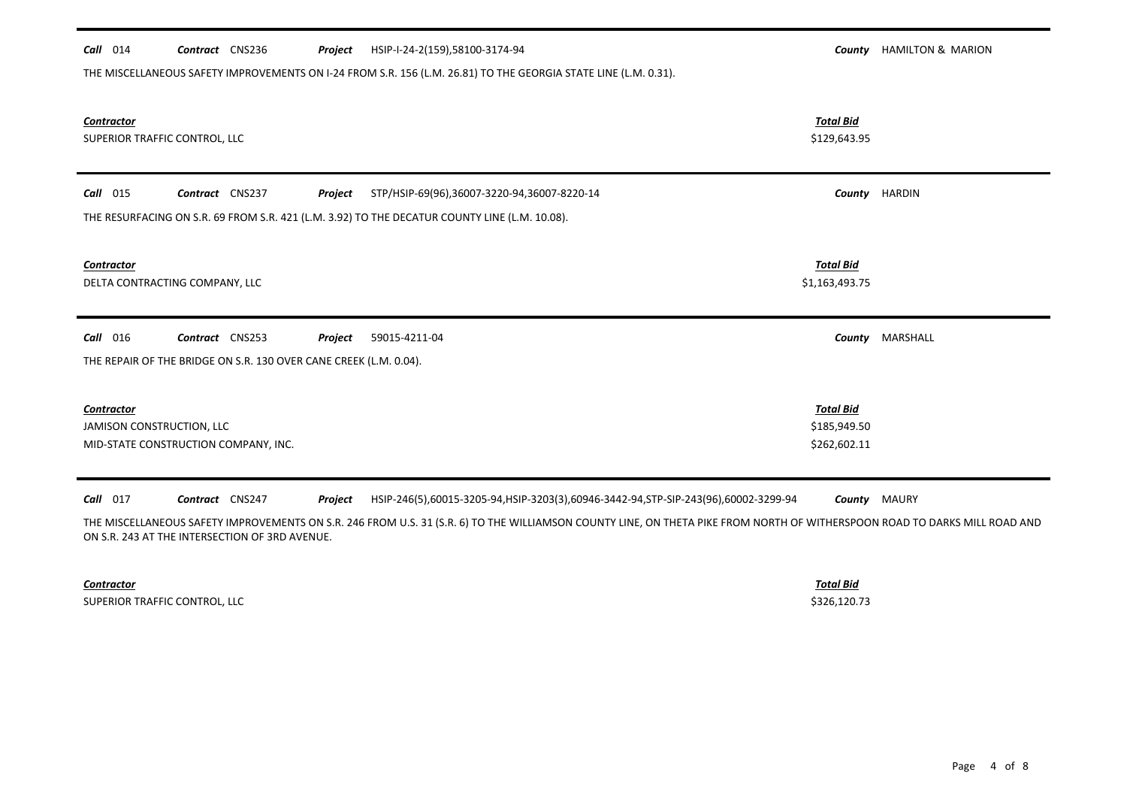| $Call$ 014                                  | Contract CNS236                                                   | Project | HSIP-I-24-2(159),58100-3174-94                                                                                  |                                                  | <b>County</b> HAMILTON & MARION |
|---------------------------------------------|-------------------------------------------------------------------|---------|-----------------------------------------------------------------------------------------------------------------|--------------------------------------------------|---------------------------------|
|                                             |                                                                   |         | THE MISCELLANEOUS SAFETY IMPROVEMENTS ON I-24 FROM S.R. 156 (L.M. 26.81) TO THE GEORGIA STATE LINE (L.M. 0.31). |                                                  |                                 |
| Contractor<br>SUPERIOR TRAFFIC CONTROL, LLC |                                                                   |         |                                                                                                                 | <b>Total Bid</b><br>\$129,643.95                 |                                 |
| $Call$ 015                                  | Contract CNS237                                                   | Project | STP/HSIP-69(96),36007-3220-94,36007-8220-14                                                                     | County                                           | <b>HARDIN</b>                   |
|                                             |                                                                   |         | THE RESURFACING ON S.R. 69 FROM S.R. 421 (L.M. 3.92) TO THE DECATUR COUNTY LINE (L.M. 10.08).                   |                                                  |                                 |
| Contractor                                  | DELTA CONTRACTING COMPANY, LLC                                    |         |                                                                                                                 | <b>Total Bid</b><br>\$1,163,493.75               |                                 |
| Call 016                                    | Contract CNS253                                                   | Project | 59015-4211-04                                                                                                   | County                                           | MARSHALL                        |
|                                             | THE REPAIR OF THE BRIDGE ON S.R. 130 OVER CANE CREEK (L.M. 0.04). |         |                                                                                                                 |                                                  |                                 |
| Contractor<br>JAMISON CONSTRUCTION, LLC     | MID-STATE CONSTRUCTION COMPANY, INC.                              |         |                                                                                                                 | <b>Total Bid</b><br>\$185,949.50<br>\$262,602.11 |                                 |
| Call 017                                    | Contract CNS247                                                   | Project | HSIP-246(5),60015-3205-94,HSIP-3203(3),60946-3442-94,STP-SIP-243(96),60002-3299-94                              | County                                           | MAURY                           |

THE MISCELLANEOUS SAFETY IMPROVEMENTS ON S.R. 246 FROM U.S. 31 (S.R. 6) TO THE WILLIAMSON COUNTY LINE, ON THETA PIKE FROM NORTH OF WITHERSPOON ROAD TO DARKS MILL ROAD AND ON S.R. 243 AT THE INTERSECTION OF 3RD AVENUE.

*Contractor Total Bid* SUPERIOR TRAFFIC CONTROL, LLC \$326,120.73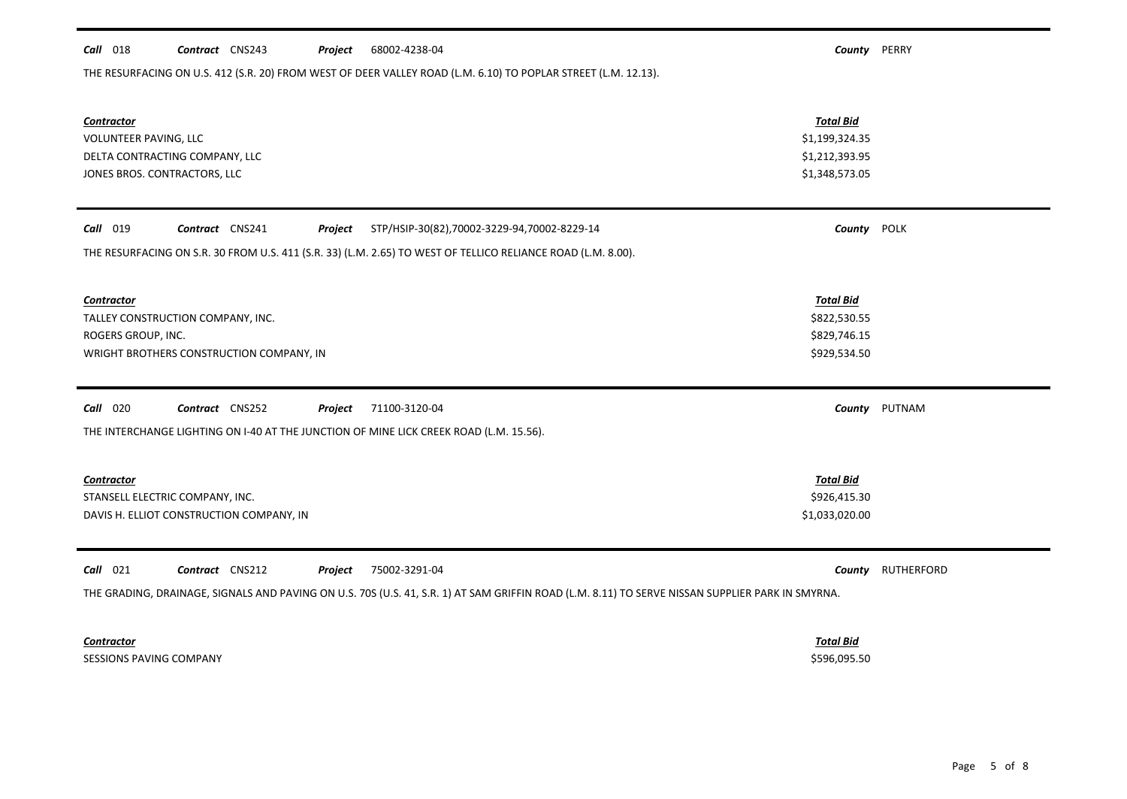| THE RESURFACING ON U.S. 412 (S.R. 20) FROM WEST OF DEER VALLEY ROAD (L.M. 6.10) TO POPLAR STREET (L.M. 12.13). |                  |        |
|----------------------------------------------------------------------------------------------------------------|------------------|--------|
| <b>Contractor</b>                                                                                              | <b>Total Bid</b> |        |
| <b>VOLUNTEER PAVING, LLC</b>                                                                                   | \$1,199,324.35   |        |
| DELTA CONTRACTING COMPANY, LLC                                                                                 | \$1,212,393.95   |        |
| JONES BROS. CONTRACTORS, LLC                                                                                   | \$1,348,573.05   |        |
|                                                                                                                |                  |        |
| STP/HSIP-30(82),70002-3229-94,70002-8229-14<br><b>Call</b> 019<br>Contract CNS241<br>Project                   | County POLK      |        |
| THE RESURFACING ON S.R. 30 FROM U.S. 411 (S.R. 33) (L.M. 2.65) TO WEST OF TELLICO RELIANCE ROAD (L.M. 8.00).   |                  |        |
|                                                                                                                |                  |        |
| <b>Contractor</b>                                                                                              | <b>Total Bid</b> |        |
| TALLEY CONSTRUCTION COMPANY, INC.                                                                              | \$822,530.55     |        |
| ROGERS GROUP, INC.                                                                                             | \$829,746.15     |        |
| WRIGHT BROTHERS CONSTRUCTION COMPANY, IN                                                                       | \$929,534.50     |        |
|                                                                                                                |                  |        |
| Call<br>020<br>Contract CNS252<br>Project<br>71100-3120-04                                                     | County           | PUTNAM |
| THE INTERCHANGE LIGHTING ON I-40 AT THE JUNCTION OF MINE LICK CREEK ROAD (L.M. 15.56).                         |                  |        |
|                                                                                                                |                  |        |
| <b>Contractor</b>                                                                                              | <b>Total Bid</b> |        |
| STANSELL ELECTRIC COMPANY, INC.                                                                                | \$926,415.30     |        |

THE GRADING, DRAINAGE, SIGNALS AND PAVING ON U.S. 70S (U.S. 41, S.R. 1) AT SAM GRIFFIN ROAD (L.M. 8.11) TO SERVE NISSAN SUPPLIER PARK IN SMYRNA.

DAVIS H. ELLIOT CONSTRUCTION COMPANY, IN **Example 2018 12:00 SET AND SET ASSAULT** ST. 033,020.00

*Call* 021 *Contract* CNS212 *Project County* RUTHERFORD 75002-3291-04

*Contractor Total Bid*

SESSIONS PAVING COMPANY \$596,095.50

## *Call* 018 *Contract* CNS243 *Project County* PERRY 68002-4238-04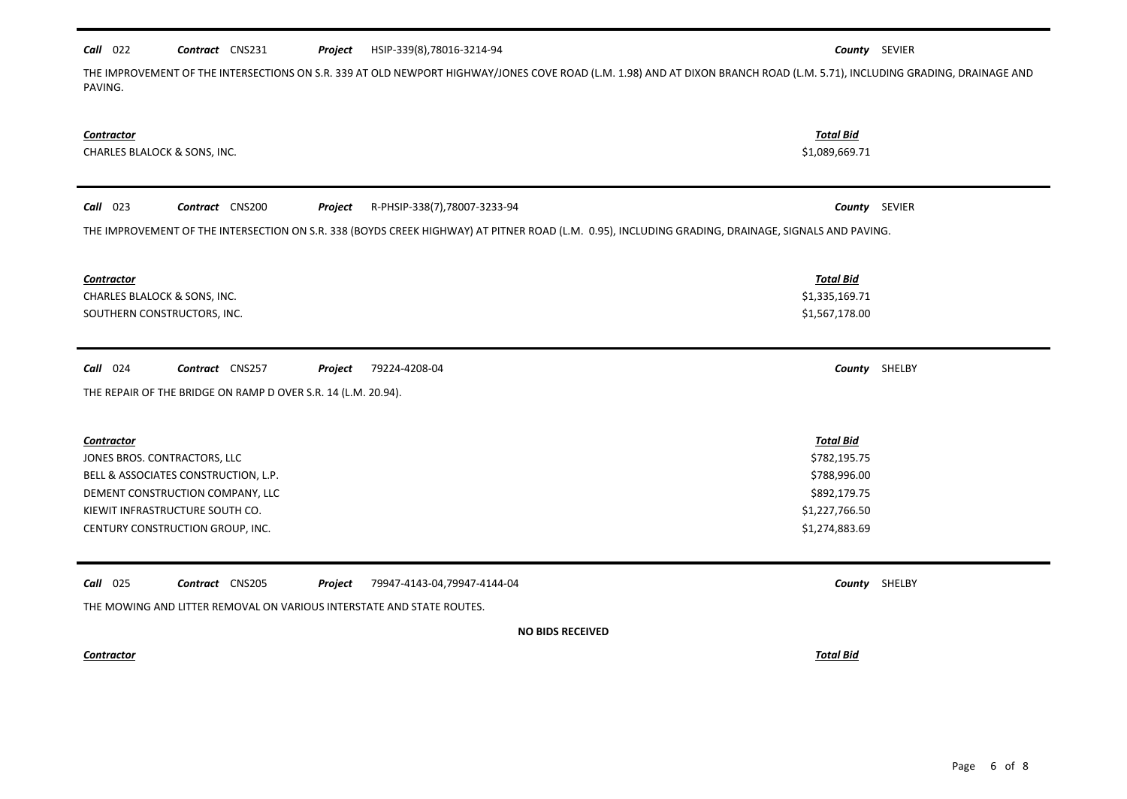## *Call* 022 *Contract* CNS231 *Project County* SEVIER HSIP-339(8),78016-3214-94

THE IMPROVEMENT OF THE INTERSECTIONS ON S.R. 339 AT OLD NEWPORT HIGHWAY/JONES COVE ROAD (L.M. 1.98) AND AT DIXON BRANCH ROAD (L.M. 5.71), INCLUDING GRADING, DRAINAGE AND PAVING.

| Contractor<br>CHARLES BLALOCK & SONS, INC.                                                                                                                                                                                   |                                                                                                      |               |
|------------------------------------------------------------------------------------------------------------------------------------------------------------------------------------------------------------------------------|------------------------------------------------------------------------------------------------------|---------------|
| Call 023<br>Contract CNS200<br>R-PHSIP-338(7),78007-3233-94<br>Project<br>THE IMPROVEMENT OF THE INTERSECTION ON S.R. 338 (BOYDS CREEK HIGHWAY) AT PITNER ROAD (L.M. 0.95), INCLUDING GRADING, DRAINAGE, SIGNALS AND PAVING. | County SEVIER                                                                                        |               |
| <b>Contractor</b><br>CHARLES BLALOCK & SONS, INC.<br>SOUTHERN CONSTRUCTORS, INC.                                                                                                                                             | <b>Total Bid</b><br>\$1,335,169.71<br>\$1,567,178.00                                                 |               |
| Call 024<br>Contract CNS257<br>Project<br>79224-4208-04<br>THE REPAIR OF THE BRIDGE ON RAMP D OVER S.R. 14 (L.M. 20.94).                                                                                                     | County SHELBY                                                                                        |               |
| <b>Contractor</b><br>JONES BROS. CONTRACTORS, LLC<br>BELL & ASSOCIATES CONSTRUCTION, L.P.<br>DEMENT CONSTRUCTION COMPANY, LLC<br>KIEWIT INFRASTRUCTURE SOUTH CO.<br>CENTURY CONSTRUCTION GROUP, INC.                         | <b>Total Bid</b><br>\$782,195.75<br>\$788,996.00<br>\$892,179.75<br>\$1,227,766.50<br>\$1,274,883.69 |               |
| Call 025<br>Contract CNS205<br>79947-4143-04,79947-4144-04<br>Project<br>THE MOWING AND LITTER REMOVAL ON VARIOUS INTERSTATE AND STATE ROUTES.                                                                               |                                                                                                      | County SHELBY |
| <b>NO BIDS RECEIVED</b>                                                                                                                                                                                                      |                                                                                                      |               |
| <b>Contractor</b>                                                                                                                                                                                                            | <b>Total Bid</b>                                                                                     |               |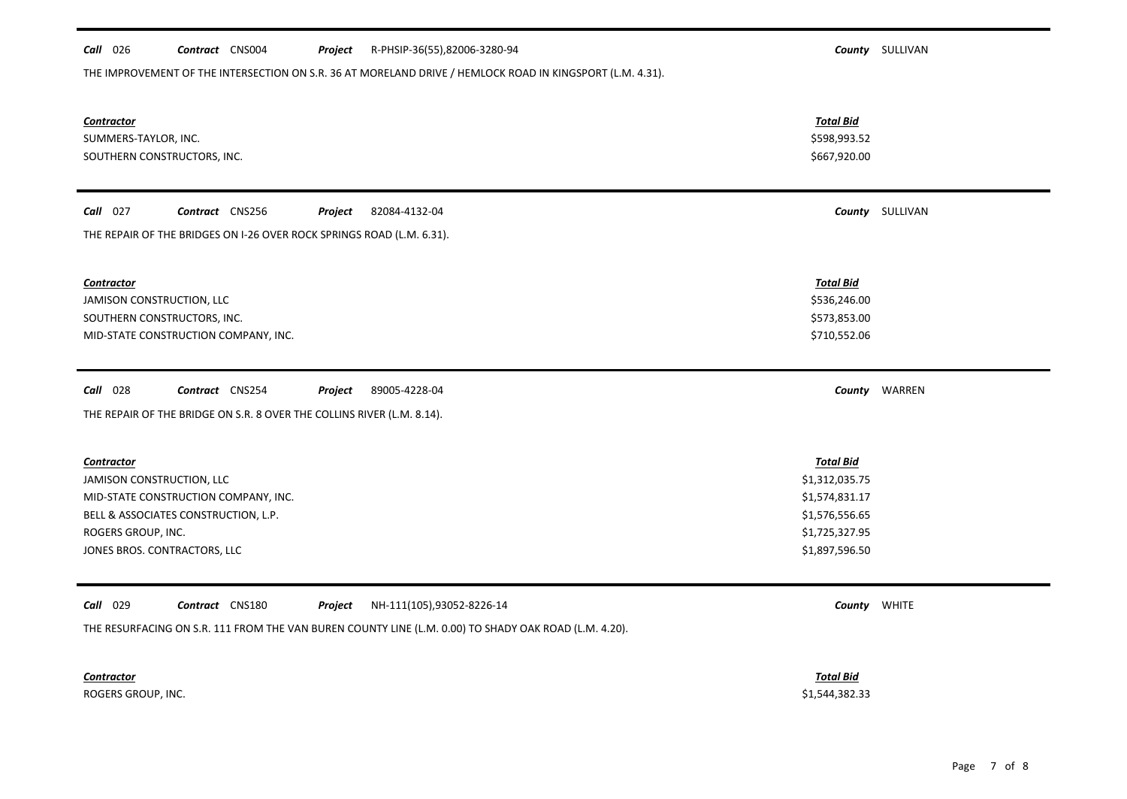| <b>Call</b> 026<br>Contract CNS004<br>R-PHSIP-36(55),82006-3280-94<br>Project                                         |                                                                  | <b>County</b> SULLIVAN |  |  |  |  |
|-----------------------------------------------------------------------------------------------------------------------|------------------------------------------------------------------|------------------------|--|--|--|--|
| THE IMPROVEMENT OF THE INTERSECTION ON S.R. 36 AT MORELAND DRIVE / HEMLOCK ROAD IN KINGSPORT (L.M. 4.31).             |                                                                  |                        |  |  |  |  |
| <b>Contractor</b><br>SUMMERS-TAYLOR, INC.<br>SOUTHERN CONSTRUCTORS, INC.                                              | <b>Total Bid</b><br>\$598,993.52<br>\$667,920.00                 |                        |  |  |  |  |
| Call 027<br>Contract CNS256<br>Project<br>82084-4132-04                                                               |                                                                  | <b>County</b> SULLIVAN |  |  |  |  |
| THE REPAIR OF THE BRIDGES ON I-26 OVER ROCK SPRINGS ROAD (L.M. 6.31).                                                 |                                                                  |                        |  |  |  |  |
| <b>Contractor</b><br>JAMISON CONSTRUCTION, LLC<br>SOUTHERN CONSTRUCTORS, INC.<br>MID-STATE CONSTRUCTION COMPANY, INC. | <b>Total Bid</b><br>\$536,246.00<br>\$573,853.00<br>\$710,552.06 |                        |  |  |  |  |
| <b>Call</b> 028<br>Contract CNS254<br>89005-4228-04<br>Project                                                        |                                                                  | County WARREN          |  |  |  |  |
| THE REPAIR OF THE BRIDGE ON S.R. 8 OVER THE COLLINS RIVER (L.M. 8.14).                                                |                                                                  |                        |  |  |  |  |
|                                                                                                                       |                                                                  |                        |  |  |  |  |
| <b>Contractor</b>                                                                                                     | <b>Total Bid</b>                                                 |                        |  |  |  |  |
| JAMISON CONSTRUCTION, LLC                                                                                             | \$1,312,035.75                                                   |                        |  |  |  |  |
| MID-STATE CONSTRUCTION COMPANY, INC.<br>BELL & ASSOCIATES CONSTRUCTION, L.P.                                          | \$1,574,831.17<br>\$1,576,556.65                                 |                        |  |  |  |  |
| ROGERS GROUP, INC.                                                                                                    | \$1,725,327.95                                                   |                        |  |  |  |  |
| JONES BROS. CONTRACTORS, LLC                                                                                          | \$1,897,596.50                                                   |                        |  |  |  |  |
|                                                                                                                       |                                                                  |                        |  |  |  |  |
|                                                                                                                       |                                                                  |                        |  |  |  |  |
| Call 029<br>Contract CNS180<br>NH-111(105),93052-8226-14<br>Project                                                   | County WHITE                                                     |                        |  |  |  |  |
| THE RESURFACING ON S.R. 111 FROM THE VAN BUREN COUNTY LINE (L.M. 0.00) TO SHADY OAK ROAD (L.M. 4.20).                 |                                                                  |                        |  |  |  |  |